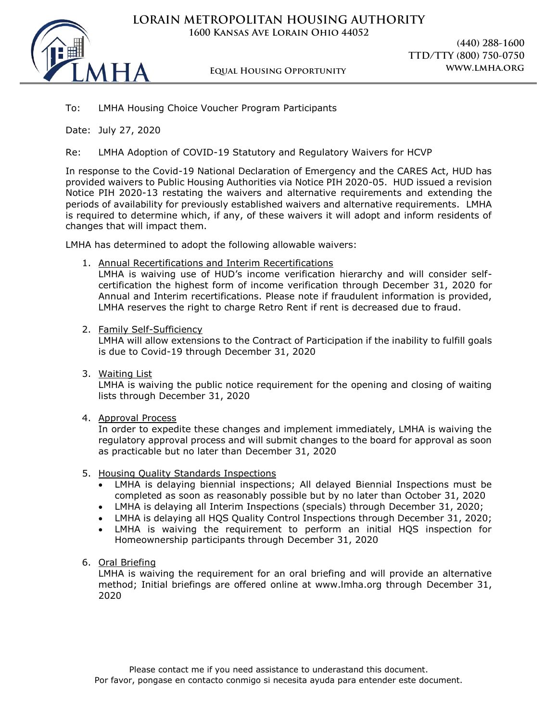

**LORAIN METROPOLITAN HOUSING AUTHORITY 1600 Kansas Ave Lorain Ohio 44052**

**(440) 288-1600 TTD/TTY (800) 750-0750**

## To: LMHA Housing Choice Voucher Program Participants

Date: July 27, 2020

Re: LMHA Adoption of COVID-19 Statutory and Regulatory Waivers for HCVP

In response to the Covid-19 National Declaration of Emergency and the CARES Act, HUD has provided waivers to Public Housing Authorities via Notice PIH 2020-05. HUD issued a revision Notice PIH 2020-13 restating the waivers and alternative requirements and extending the periods of availability for previously established waivers and alternative requirements. LMHA is required to determine which, if any, of these waivers it will adopt and inform residents of changes that will impact them.

LMHA has determined to adopt the following allowable waivers:

1. Annual Recertifications and Interim Recertifications

LMHA is waiving use of HUD's income verification hierarchy and will consider selfcertification the highest form of income verification through December 31, 2020 for Annual and Interim recertifications. Please note if fraudulent information is provided, LMHA reserves the right to charge Retro Rent if rent is decreased due to fraud.

2. Family Self-Sufficiency

LMHA will allow extensions to the Contract of Participation if the inability to fulfill goals is due to Covid-19 through December 31, 2020

3. Waiting List

LMHA is waiving the public notice requirement for the opening and closing of waiting lists through December 31, 2020

4. Approval Process

In order to expedite these changes and implement immediately, LMHA is waiving the regulatory approval process and will submit changes to the board for approval as soon as practicable but no later than December 31, 2020

- 5. Housing Quality Standards Inspections
	- LMHA is delaying biennial inspections; All delayed Biennial Inspections must be completed as soon as reasonably possible but by no later than October 31, 2020
	- LMHA is delaying all Interim Inspections (specials) through December 31, 2020;
	- LMHA is delaying all HQS Quality Control Inspections through December 31, 2020;
	- LMHA is waiving the requirement to perform an initial HQS inspection for Homeownership participants through December 31, 2020
- 6. Oral Briefing

LMHA is waiving the requirement for an oral briefing and will provide an alternative method; Initial briefings are offered online at www.lmha.org through December 31, 2020